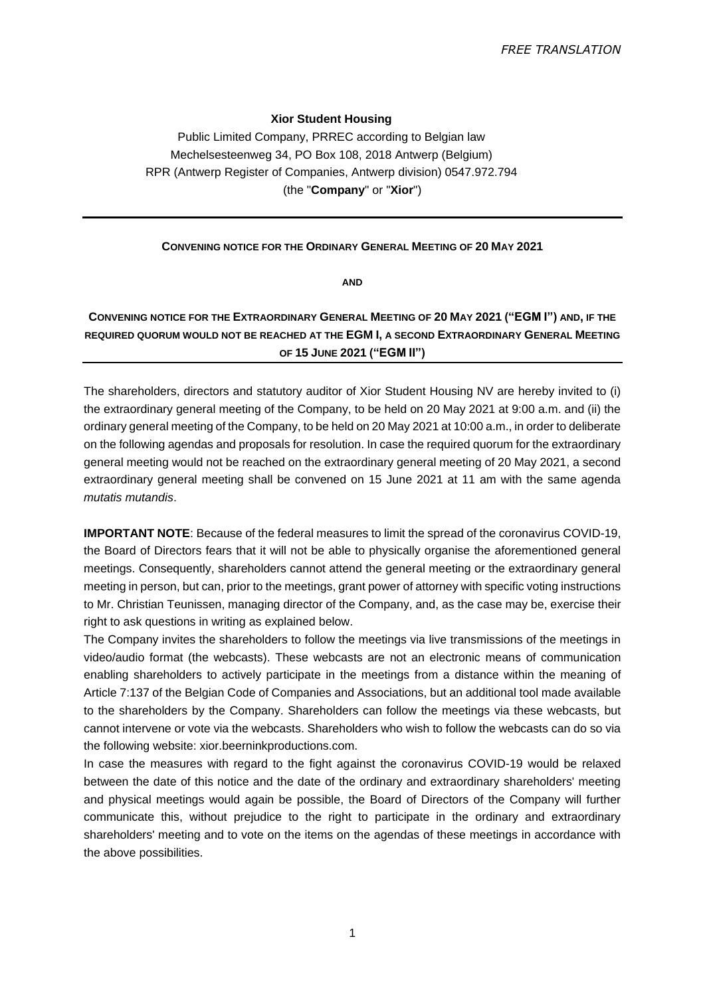### **Xior Student Housing**

Public Limited Company, PRREC according to Belgian law Mechelsesteenweg 34, PO Box 108, 2018 Antwerp (Belgium) RPR (Antwerp Register of Companies, Antwerp division) 0547.972.794 (the "**Company**" or "**Xior**")

#### **CONVENING NOTICE FOR THE ORDINARY GENERAL MEETING OF 20 MAY 2021**

**AND**

# **CONVENING NOTICE FOR THE EXTRAORDINARY GENERAL MEETING OF 20 MAY 2021 ("EGM I") AND, IF THE REQUIRED QUORUM WOULD NOT BE REACHED AT THE EGM I, A SECOND EXTRAORDINARY GENERAL MEETING OF 15 JUNE 2021 ("EGM II")**

The shareholders, directors and statutory auditor of Xior Student Housing NV are hereby invited to (i) the extraordinary general meeting of the Company, to be held on 20 May 2021 at 9:00 a.m. and (ii) the ordinary general meeting of the Company, to be held on 20 May 2021 at 10:00 a.m., in order to deliberate on the following agendas and proposals for resolution. In case the required quorum for the extraordinary general meeting would not be reached on the extraordinary general meeting of 20 May 2021, a second extraordinary general meeting shall be convened on 15 June 2021 at 11 am with the same agenda *mutatis mutandis*.

**IMPORTANT NOTE**: Because of the federal measures to limit the spread of the coronavirus COVID-19, the Board of Directors fears that it will not be able to physically organise the aforementioned general meetings. Consequently, shareholders cannot attend the general meeting or the extraordinary general meeting in person, but can, prior to the meetings, grant power of attorney with specific voting instructions to Mr. Christian Teunissen, managing director of the Company, and, as the case may be, exercise their right to ask questions in writing as explained below.

The Company invites the shareholders to follow the meetings via live transmissions of the meetings in video/audio format (the webcasts). These webcasts are not an electronic means of communication enabling shareholders to actively participate in the meetings from a distance within the meaning of Article 7:137 of the Belgian Code of Companies and Associations, but an additional tool made available to the shareholders by the Company. Shareholders can follow the meetings via these webcasts, but cannot intervene or vote via the webcasts. Shareholders who wish to follow the webcasts can do so via the following website: xior.beerninkproductions.com.

In case the measures with regard to the fight against the coronavirus COVID-19 would be relaxed between the date of this notice and the date of the ordinary and extraordinary shareholders' meeting and physical meetings would again be possible, the Board of Directors of the Company will further communicate this, without prejudice to the right to participate in the ordinary and extraordinary shareholders' meeting and to vote on the items on the agendas of these meetings in accordance with the above possibilities.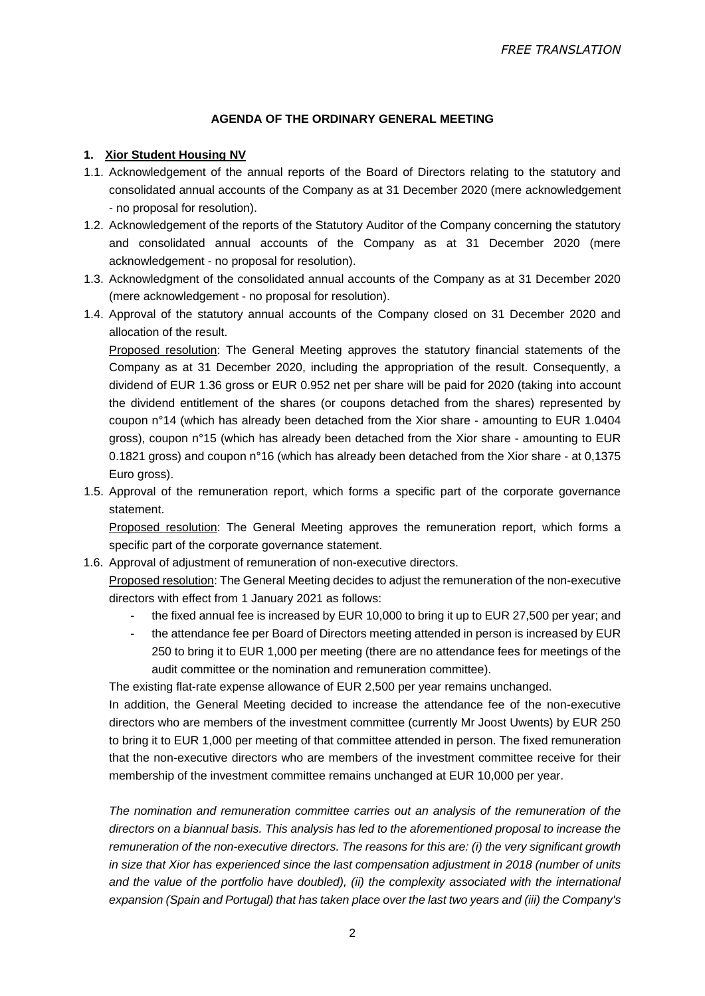# **AGENDA OF THE ORDINARY GENERAL MEETING**

### **1. Xior Student Housing NV**

- 1.1. Acknowledgement of the annual reports of the Board of Directors relating to the statutory and consolidated annual accounts of the Company as at 31 December 2020 (mere acknowledgement - no proposal for resolution).
- 1.2. Acknowledgement of the reports of the Statutory Auditor of the Company concerning the statutory and consolidated annual accounts of the Company as at 31 December 2020 (mere acknowledgement - no proposal for resolution).
- 1.3. Acknowledgment of the consolidated annual accounts of the Company as at 31 December 2020 (mere acknowledgement - no proposal for resolution).
- 1.4. Approval of the statutory annual accounts of the Company closed on 31 December 2020 and allocation of the result.

Proposed resolution: The General Meeting approves the statutory financial statements of the Company as at 31 December 2020, including the appropriation of the result. Consequently, a dividend of EUR 1.36 gross or EUR 0.952 net per share will be paid for 2020 (taking into account the dividend entitlement of the shares (or coupons detached from the shares) represented by coupon n°14 (which has already been detached from the Xior share - amounting to EUR 1.0404 gross), coupon n°15 (which has already been detached from the Xior share - amounting to EUR 0.1821 gross) and coupon n°16 (which has already been detached from the Xior share - at 0,1375 Euro gross).

1.5. Approval of the remuneration report, which forms a specific part of the corporate governance statement.

Proposed resolution: The General Meeting approves the remuneration report, which forms a specific part of the corporate governance statement.

1.6. Approval of adjustment of remuneration of non-executive directors.

Proposed resolution: The General Meeting decides to adjust the remuneration of the non-executive directors with effect from 1 January 2021 as follows:

- the fixed annual fee is increased by EUR 10,000 to bring it up to EUR 27,500 per year; and
- the attendance fee per Board of Directors meeting attended in person is increased by EUR 250 to bring it to EUR 1,000 per meeting (there are no attendance fees for meetings of the audit committee or the nomination and remuneration committee).

The existing flat-rate expense allowance of EUR 2,500 per year remains unchanged.

In addition, the General Meeting decided to increase the attendance fee of the non-executive directors who are members of the investment committee (currently Mr Joost Uwents) by EUR 250 to bring it to EUR 1,000 per meeting of that committee attended in person. The fixed remuneration that the non-executive directors who are members of the investment committee receive for their membership of the investment committee remains unchanged at EUR 10,000 per year.

*The nomination and remuneration committee carries out an analysis of the remuneration of the directors on a biannual basis. This analysis has led to the aforementioned proposal to increase the remuneration of the non-executive directors. The reasons for this are: (i) the very significant growth in size that Xior has experienced since the last compensation adjustment in 2018 (number of units and the value of the portfolio have doubled), (ii) the complexity associated with the international expansion (Spain and Portugal) that has taken place over the last two years and (iii) the Company's*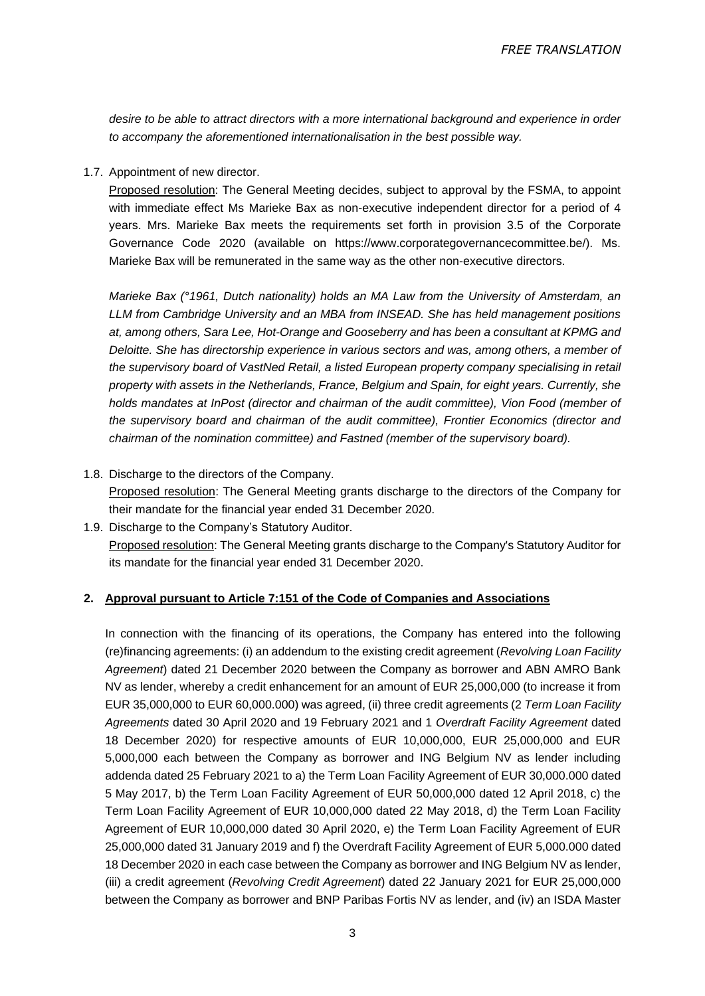*desire to be able to attract directors with a more international background and experience in order to accompany the aforementioned internationalisation in the best possible way.*

1.7. Appointment of new director.

Proposed resolution: The General Meeting decides, subject to approval by the FSMA, to appoint with immediate effect Ms Marieke Bax as non-executive independent director for a period of 4 years. Mrs. Marieke Bax meets the requirements set forth in provision 3.5 of the Corporate Governance Code 2020 (available on https://www.corporategovernancecommittee.be/). Ms. Marieke Bax will be remunerated in the same way as the other non-executive directors.

*Marieke Bax (°1961, Dutch nationality) holds an MA Law from the University of Amsterdam, an LLM from Cambridge University and an MBA from INSEAD. She has held management positions at, among others, Sara Lee, Hot-Orange and Gooseberry and has been a consultant at KPMG and Deloitte. She has directorship experience in various sectors and was, among others, a member of the supervisory board of VastNed Retail, a listed European property company specialising in retail property with assets in the Netherlands, France, Belgium and Spain, for eight years. Currently, she holds mandates at InPost (director and chairman of the audit committee), Vion Food (member of the supervisory board and chairman of the audit committee), Frontier Economics (director and chairman of the nomination committee) and Fastned (member of the supervisory board).*

- 1.8. Discharge to the directors of the Company. Proposed resolution: The General Meeting grants discharge to the directors of the Company for their mandate for the financial year ended 31 December 2020.
- 1.9. Discharge to the Company's Statutory Auditor. Proposed resolution: The General Meeting grants discharge to the Company's Statutory Auditor for its mandate for the financial year ended 31 December 2020.

### **2. Approval pursuant to Article 7:151 of the Code of Companies and Associations**

In connection with the financing of its operations, the Company has entered into the following (re)financing agreements: (i) an addendum to the existing credit agreement (*Revolving Loan Facility Agreement*) dated 21 December 2020 between the Company as borrower and ABN AMRO Bank NV as lender, whereby a credit enhancement for an amount of EUR 25,000,000 (to increase it from EUR 35,000,000 to EUR 60,000.000) was agreed, (ii) three credit agreements (2 *Term Loan Facility Agreements* dated 30 April 2020 and 19 February 2021 and 1 *Overdraft Facility Agreement* dated 18 December 2020) for respective amounts of EUR 10,000,000, EUR 25,000,000 and EUR 5,000,000 each between the Company as borrower and ING Belgium NV as lender including addenda dated 25 February 2021 to a) the Term Loan Facility Agreement of EUR 30,000.000 dated 5 May 2017, b) the Term Loan Facility Agreement of EUR 50,000,000 dated 12 April 2018, c) the Term Loan Facility Agreement of EUR 10,000,000 dated 22 May 2018, d) the Term Loan Facility Agreement of EUR 10,000,000 dated 30 April 2020, e) the Term Loan Facility Agreement of EUR 25,000,000 dated 31 January 2019 and f) the Overdraft Facility Agreement of EUR 5,000.000 dated 18 December 2020 in each case between the Company as borrower and ING Belgium NV as lender, (iii) a credit agreement (*Revolving Credit Agreement*) dated 22 January 2021 for EUR 25,000,000 between the Company as borrower and BNP Paribas Fortis NV as lender, and (iv) an ISDA Master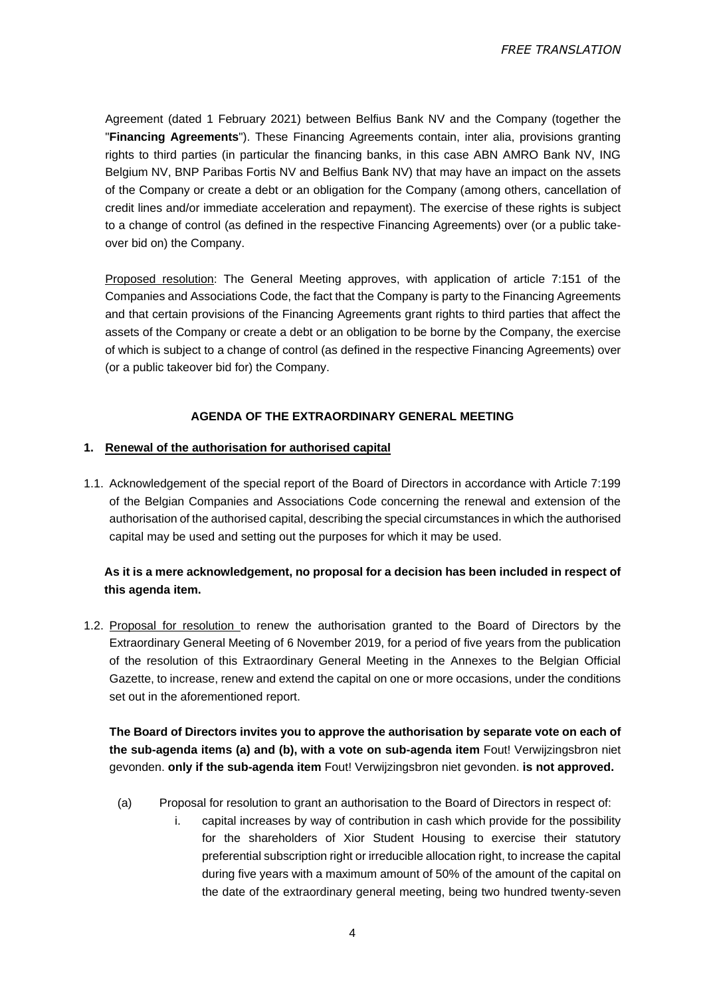Agreement (dated 1 February 2021) between Belfius Bank NV and the Company (together the "**Financing Agreements**"). These Financing Agreements contain, inter alia, provisions granting rights to third parties (in particular the financing banks, in this case ABN AMRO Bank NV, ING Belgium NV, BNP Paribas Fortis NV and Belfius Bank NV) that may have an impact on the assets of the Company or create a debt or an obligation for the Company (among others, cancellation of credit lines and/or immediate acceleration and repayment). The exercise of these rights is subject to a change of control (as defined in the respective Financing Agreements) over (or a public takeover bid on) the Company.

Proposed resolution: The General Meeting approves, with application of article 7:151 of the Companies and Associations Code, the fact that the Company is party to the Financing Agreements and that certain provisions of the Financing Agreements grant rights to third parties that affect the assets of the Company or create a debt or an obligation to be borne by the Company, the exercise of which is subject to a change of control (as defined in the respective Financing Agreements) over (or a public takeover bid for) the Company.

## **AGENDA OF THE EXTRAORDINARY GENERAL MEETING**

### **1. Renewal of the authorisation for authorised capital**

1.1. Acknowledgement of the special report of the Board of Directors in accordance with Article 7:199 of the Belgian Companies and Associations Code concerning the renewal and extension of the authorisation of the authorised capital, describing the special circumstances in which the authorised capital may be used and setting out the purposes for which it may be used.

# **As it is a mere acknowledgement, no proposal for a decision has been included in respect of this agenda item.**

<span id="page-3-0"></span>1.2. Proposal for resolution to renew the authorisation granted to the Board of Directors by the Extraordinary General Meeting of 6 November 2019, for a period of five years from the publication of the resolution of this Extraordinary General Meeting in the Annexes to the Belgian Official Gazette, to increase, renew and extend the capital on one or more occasions, under the conditions set out in the aforementioned report.

**The Board of Directors invites you to approve the authorisation by separate vote on each of the sub-agenda items (a) and (b), with a vote on sub-agenda item** Fout! Verwijzingsbron niet gevonden. **only if the sub-agenda item** Fout! Verwijzingsbron niet gevonden. **is not approved.** 

- (a) Proposal for resolution to grant an authorisation to the Board of Directors in respect of:
	- i. capital increases by way of contribution in cash which provide for the possibility for the shareholders of Xior Student Housing to exercise their statutory preferential subscription right or irreducible allocation right, to increase the capital during five years with a maximum amount of 50% of the amount of the capital on the date of the extraordinary general meeting, being two hundred twenty-seven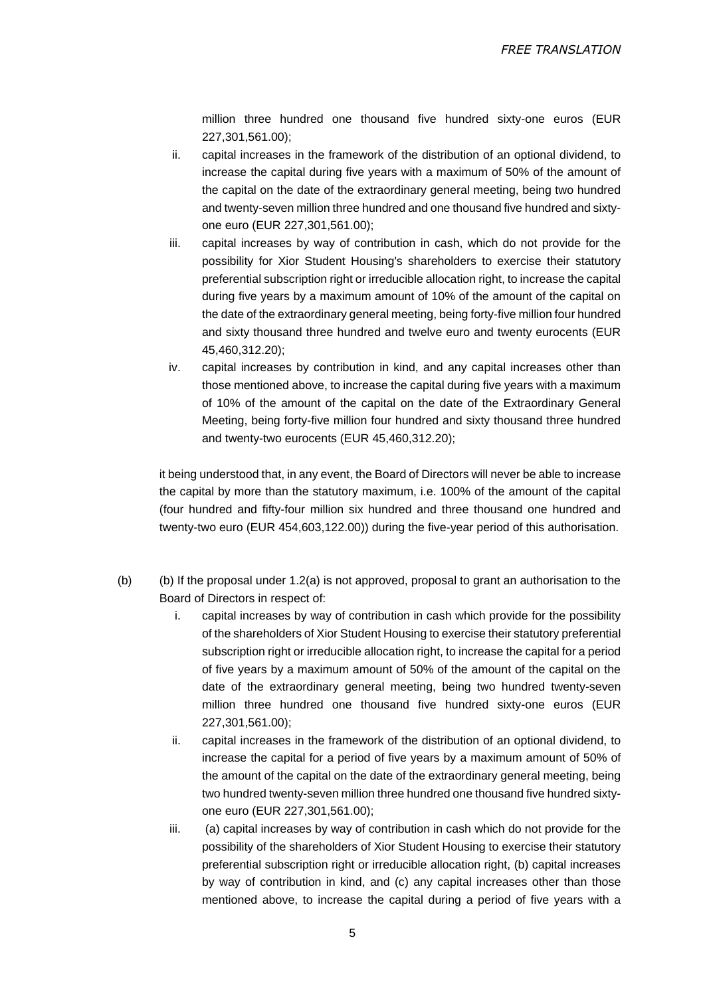million three hundred one thousand five hundred sixty-one euros (EUR 227,301,561.00);

- ii. capital increases in the framework of the distribution of an optional dividend, to increase the capital during five years with a maximum of 50% of the amount of the capital on the date of the extraordinary general meeting, being two hundred and twenty-seven million three hundred and one thousand five hundred and sixtyone euro (EUR 227,301,561.00);
- iii. capital increases by way of contribution in cash, which do not provide for the possibility for Xior Student Housing's shareholders to exercise their statutory preferential subscription right or irreducible allocation right, to increase the capital during five years by a maximum amount of 10% of the amount of the capital on the date of the extraordinary general meeting, being forty-five million four hundred and sixty thousand three hundred and twelve euro and twenty eurocents (EUR 45,460,312.20);
- iv. capital increases by contribution in kind, and any capital increases other than those mentioned above, to increase the capital during five years with a maximum of 10% of the amount of the capital on the date of the Extraordinary General Meeting, being forty-five million four hundred and sixty thousand three hundred and twenty-two eurocents (EUR 45,460,312.20);

it being understood that, in any event, the Board of Directors will never be able to increase the capital by more than the statutory maximum, i.e. 100% of the amount of the capital (four hundred and fifty-four million six hundred and three thousand one hundred and twenty-two euro (EUR 454,603,122.00)) during the five-year period of this authorisation.

- (b) (b) If the proposal under 1.2(a) is not approved, proposal to grant an authorisation to the Board of Directors in respect of:
	- i. capital increases by way of contribution in cash which provide for the possibility of the shareholders of Xior Student Housing to exercise their statutory preferential subscription right or irreducible allocation right, to increase the capital for a period of five years by a maximum amount of 50% of the amount of the capital on the date of the extraordinary general meeting, being two hundred twenty-seven million three hundred one thousand five hundred sixty-one euros (EUR 227,301,561.00);
	- ii. capital increases in the framework of the distribution of an optional dividend, to increase the capital for a period of five years by a maximum amount of 50% of the amount of the capital on the date of the extraordinary general meeting, being two hundred twenty-seven million three hundred one thousand five hundred sixtyone euro (EUR 227,301,561.00);
	- iii. (a) capital increases by way of contribution in cash which do not provide for the possibility of the shareholders of Xior Student Housing to exercise their statutory preferential subscription right or irreducible allocation right, (b) capital increases by way of contribution in kind, and (c) any capital increases other than those mentioned above, to increase the capital during a period of five years with a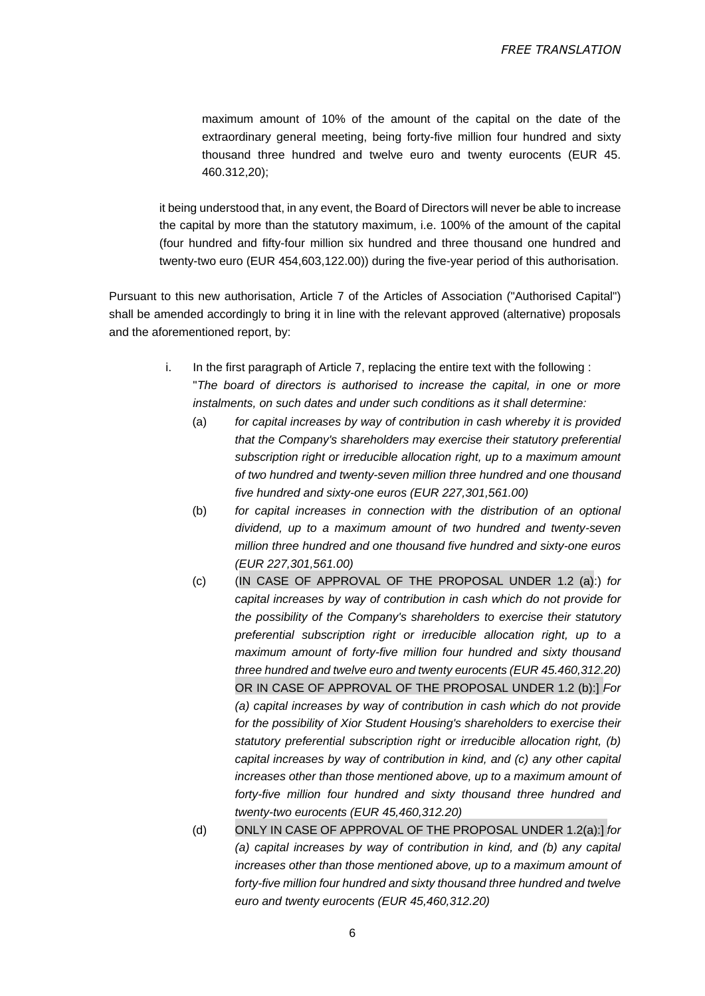maximum amount of 10% of the amount of the capital on the date of the extraordinary general meeting, being forty-five million four hundred and sixty thousand three hundred and twelve euro and twenty eurocents (EUR 45. 460.312,20);

it being understood that, in any event, the Board of Directors will never be able to increase the capital by more than the statutory maximum, i.e. 100% of the amount of the capital (four hundred and fifty-four million six hundred and three thousand one hundred and twenty-two euro (EUR 454,603,122.00)) during the five-year period of this authorisation.

Pursuant to this new authorisation, Article 7 of the Articles of Association ("Authorised Capital") shall be amended accordingly to bring it in line with the relevant approved (alternative) proposals and the aforementioned report, by:

- i. In the first paragraph of Article 7, replacing the entire text with the following : "*The board of directors is authorised to increase the capital, in one or more instalments, on such dates and under such conditions as it shall determine:*
	- (a) *for capital increases by way of contribution in cash whereby it is provided that the Company's shareholders may exercise their statutory preferential subscription right or irreducible allocation right, up to a maximum amount of two hundred and twenty-seven million three hundred and one thousand five hundred and sixty-one euros (EUR 227,301,561.00)*
	- (b) *for capital increases in connection with the distribution of an optional dividend, up to a maximum amount of two hundred and twenty-seven million three hundred and one thousand five hundred and sixty-one euros (EUR 227,301,561.00)*
	- (c) (IN CASE OF APPROVAL OF THE PROPOSAL UNDER 1.2 (a):) *for capital increases by way of contribution in cash which do not provide for the possibility of the Company's shareholders to exercise their statutory preferential subscription right or irreducible allocation right, up to a maximum amount of forty-five million four hundred and sixty thousand three hundred and twelve euro and twenty eurocents (EUR 45.460,312.20)*  OR IN CASE OF APPROVAL OF THE PROPOSAL UNDER 1.2 (b):] *For (a) capital increases by way of contribution in cash which do not provide for the possibility of Xior Student Housing's shareholders to exercise their statutory preferential subscription right or irreducible allocation right, (b) capital increases by way of contribution in kind, and (c) any other capital increases other than those mentioned above, up to a maximum amount of forty-five million four hundred and sixty thousand three hundred and twenty-two eurocents (EUR 45,460,312.20)*
	- (d) ONLY IN CASE OF APPROVAL OF THE PROPOSAL UNDER 1.2(a):] *for (a) capital increases by way of contribution in kind, and (b) any capital increases other than those mentioned above, up to a maximum amount of forty-five million four hundred and sixty thousand three hundred and twelve euro and twenty eurocents (EUR 45,460,312.20)*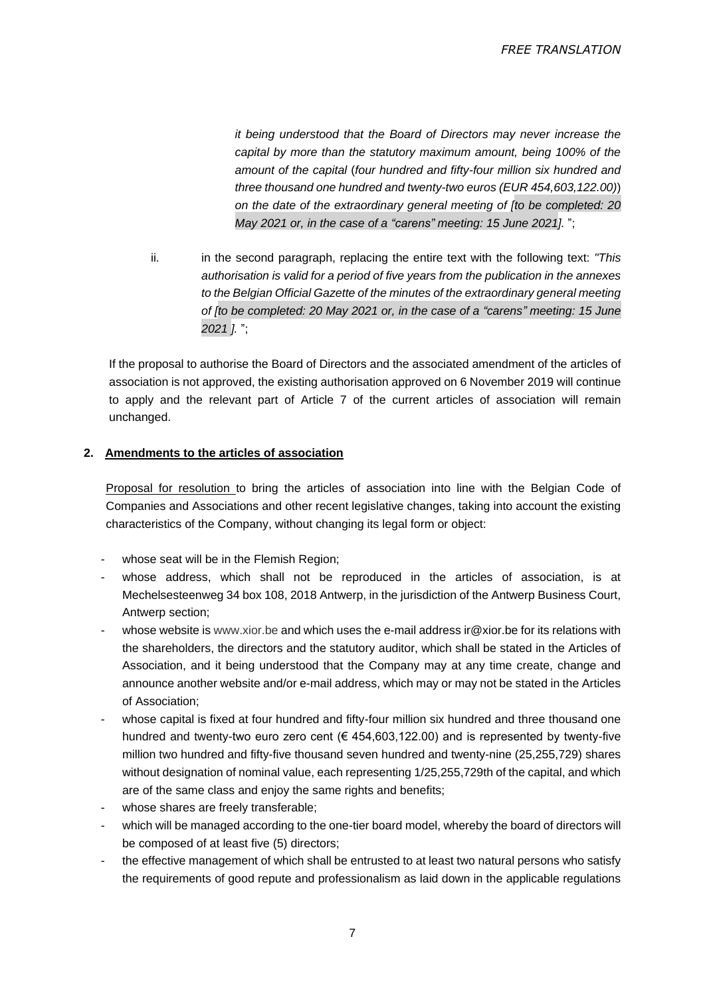*it being understood that the Board of Directors may never increase the capital by more than the statutory maximum amount, being 100% of the amount of the capital* (*four hundred and fifty-four million six hundred and three thousand one hundred and twenty-two euros (EUR 454,603,122.00)*) *on the date of the extraordinary general meeting of [to be completed: 20 May 2021 or, in the case of a "carens" meeting: 15 June 2021].* ";

ii. in the second paragraph, replacing the entire text with the following text: *"This authorisation is valid for a period of five years from the publication in the annexes to the Belgian Official Gazette of the minutes of the extraordinary general meeting of [to be completed: 20 May 2021 or, in the case of a "carens" meeting: 15 June 2021 ].* ";

If the proposal to authorise the Board of Directors and the associated amendment of the articles of association is not approved, the existing authorisation approved on 6 November 2019 will continue to apply and the relevant part of Article 7 of the current articles of association will remain unchanged.

## **2. Amendments to the articles of association**

Proposal for resolution to bring the articles of association into line with the Belgian Code of Companies and Associations and other recent legislative changes, taking into account the existing characteristics of the Company, without changing its legal form or object:

- whose seat will be in the Flemish Region;
- whose address, which shall not be reproduced in the articles of association, is at Mechelsesteenweg 34 box 108, 2018 Antwerp, in the jurisdiction of the Antwerp Business Court, Antwerp section;
- whose website i[s www.xior.be a](http://www.xior.be/)nd which uses the e-mail address ir@xior.be for its relations with the shareholders, the directors and the statutory auditor, which shall be stated in the Articles of Association, and it being understood that the Company may at any time create, change and announce another website and/or e-mail address, which may or may not be stated in the Articles of Association;
- whose capital is fixed at four hundred and fifty-four million six hundred and three thousand one hundred and twenty-two euro zero cent (€ 454,603,122.00) and is represented by twenty-five million two hundred and fifty-five thousand seven hundred and twenty-nine (25,255,729) shares without designation of nominal value, each representing 1/25,255,729th of the capital, and which are of the same class and enjoy the same rights and benefits;
- whose shares are freely transferable;
- which will be managed according to the one-tier board model, whereby the board of directors will be composed of at least five (5) directors;
- the effective management of which shall be entrusted to at least two natural persons who satisfy the requirements of good repute and professionalism as laid down in the applicable regulations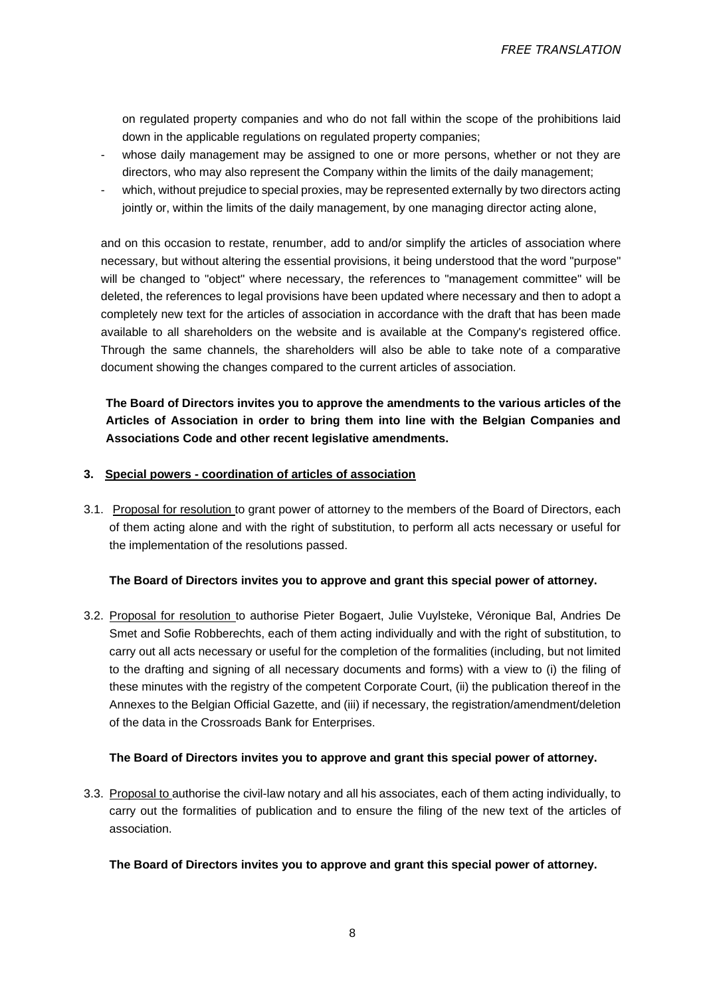on regulated property companies and who do not fall within the scope of the prohibitions laid down in the applicable regulations on regulated property companies;

- whose daily management may be assigned to one or more persons, whether or not they are directors, who may also represent the Company within the limits of the daily management;
- which, without prejudice to special proxies, may be represented externally by two directors acting jointly or, within the limits of the daily management, by one managing director acting alone,

and on this occasion to restate, renumber, add to and/or simplify the articles of association where necessary, but without altering the essential provisions, it being understood that the word "purpose" will be changed to "object" where necessary, the references to "management committee" will be deleted, the references to legal provisions have been updated where necessary and then to adopt a completely new text for the articles of association in accordance with the draft that has been made available to all shareholders on the website and is available at the Company's registered office. Through the same channels, the shareholders will also be able to take note of a comparative document showing the changes compared to the current articles of association.

**The Board of Directors invites you to approve the amendments to the various articles of the Articles of Association in order to bring them into line with the Belgian Companies and Associations Code and other recent legislative amendments.**

### **3. Special powers - coordination of articles of association**

3.1. Proposal for resolution to grant power of attorney to the members of the Board of Directors, each of them acting alone and with the right of substitution, to perform all acts necessary or useful for the implementation of the resolutions passed.

### **The Board of Directors invites you to approve and grant this special power of attorney.**

3.2. Proposal for resolution to authorise Pieter Bogaert, Julie Vuylsteke, Véronique Bal, Andries De Smet and Sofie Robberechts, each of them acting individually and with the right of substitution, to carry out all acts necessary or useful for the completion of the formalities (including, but not limited to the drafting and signing of all necessary documents and forms) with a view to (i) the filing of these minutes with the registry of the competent Corporate Court, (ii) the publication thereof in the Annexes to the Belgian Official Gazette, and (iii) if necessary, the registration/amendment/deletion of the data in the Crossroads Bank for Enterprises.

# **The Board of Directors invites you to approve and grant this special power of attorney.**

3.3. Proposal to authorise the civil-law notary and all his associates, each of them acting individually, to carry out the formalities of publication and to ensure the filing of the new text of the articles of association.

### **The Board of Directors invites you to approve and grant this special power of attorney.**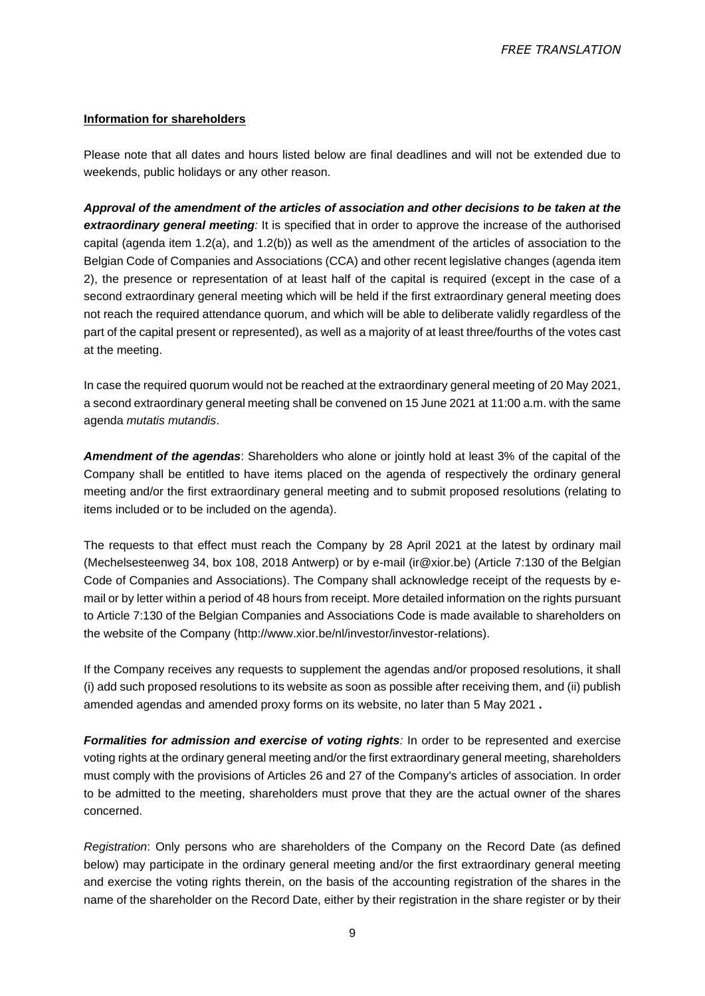### **Information for shareholders**

Please note that all dates and hours listed below are final deadlines and will not be extended due to weekends, public holidays or any other reason.

*Approval of the amendment of the articles of association and other decisions to be taken at the*  **extraordinary general meeting**: It is specified that in order to approve the increase of the authorised capital (agenda item [1.2\(a\),](#page-3-0) and 1.2(b)) as well as the amendment of the articles of association to the Belgian Code of Companies and Associations (CCA) and other recent legislative changes (agenda item 2), the presence or representation of at least half of the capital is required (except in the case of a second extraordinary general meeting which will be held if the first extraordinary general meeting does not reach the required attendance quorum, and which will be able to deliberate validly regardless of the part of the capital present or represented), as well as a majority of at least three/fourths of the votes cast at the meeting.

In case the required quorum would not be reached at the extraordinary general meeting of 20 May 2021, a second extraordinary general meeting shall be convened on 15 June 2021 at 11:00 a.m. with the same agenda *mutatis mutandis*.

*Amendment of the agendas*: Shareholders who alone or jointly hold at least 3% of the capital of the Company shall be entitled to have items placed on the agenda of respectively the ordinary general meeting and/or the first extraordinary general meeting and to submit proposed resolutions (relating to items included or to be included on the agenda).

The requests to that effect must reach the Company by 28 April 2021 at the latest by ordinary mail (Mechelsesteenweg 34, box 108, 2018 Antwerp) or by e-mail (ir@xior.be) (Article 7:130 of the Belgian Code of Companies and Associations). The Company shall acknowledge receipt of the requests by email or by letter within a period of 48 hours from receipt. More detailed information on the rights pursuant to Article 7:130 of the Belgian Companies and Associations Code is made available to shareholders on the website of the Company (http://www.xior.be/nl/investor/investor-relations).

If the Company receives any requests to supplement the agendas and/or proposed resolutions, it shall (i) add such proposed resolutions to its website as soon as possible after receiving them, and (ii) publish amended agendas and amended proxy forms on its website, no later than 5 May 2021 **.**

*Formalities for admission and exercise of voting rights*: In order to be represented and exercise voting rights at the ordinary general meeting and/or the first extraordinary general meeting, shareholders must comply with the provisions of Articles 26 and 27 of the Company's articles of association. In order to be admitted to the meeting, shareholders must prove that they are the actual owner of the shares concerned.

*Registration*: Only persons who are shareholders of the Company on the Record Date (as defined below) may participate in the ordinary general meeting and/or the first extraordinary general meeting and exercise the voting rights therein, on the basis of the accounting registration of the shares in the name of the shareholder on the Record Date, either by their registration in the share register or by their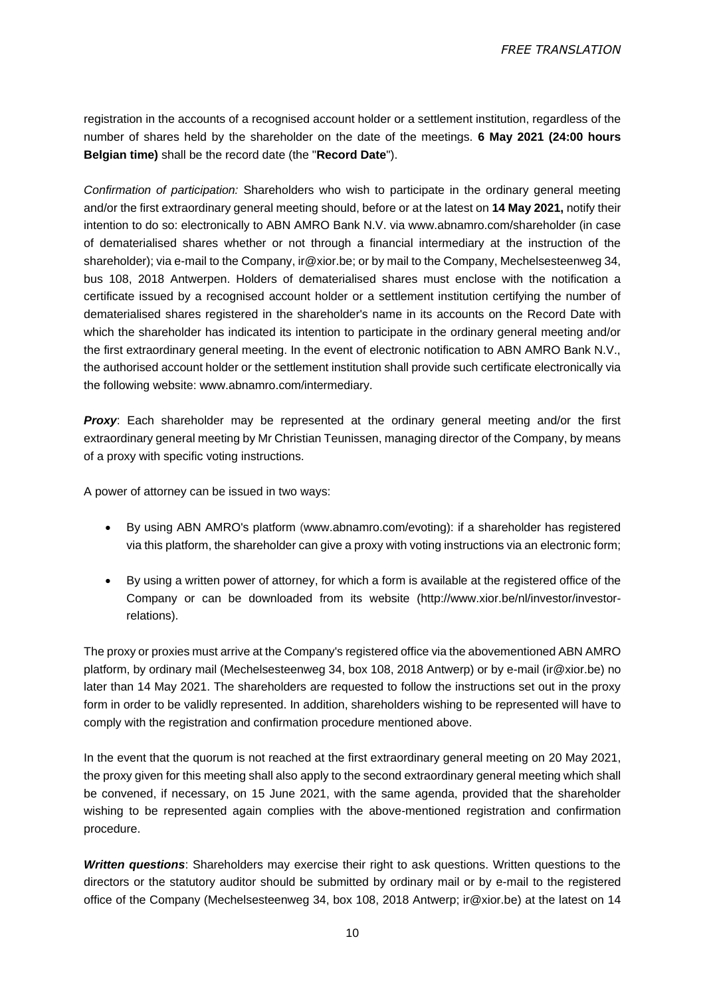registration in the accounts of a recognised account holder or a settlement institution, regardless of the number of shares held by the shareholder on the date of the meetings. **6 May 2021 (24:00 hours Belgian time)** shall be the record date (the "**Record Date**").

*Confirmation of participation:* Shareholders who wish to participate in the ordinary general meeting and/or the first extraordinary general meeting should, before or at the latest on **14 May 2021,** notify their intention to do so: electronically to ABN AMRO Bank N.V. via www.abnamro.com/shareholder (in case of dematerialised shares whether or not through a financial intermediary at the instruction of the shareholder); via e-mail to the Company, ir@xior.be; or by mail to the Company, Mechelsesteenweg 34, bus 108, 2018 Antwerpen. Holders of dematerialised shares must enclose with the notification a certificate issued by a recognised account holder or a settlement institution certifying the number of dematerialised shares registered in the shareholder's name in its accounts on the Record Date with which the shareholder has indicated its intention to participate in the ordinary general meeting and/or the first extraordinary general meeting. In the event of electronic notification to ABN AMRO Bank N.V., the authorised account holder or the settlement institution shall provide such certificate electronically via the following website: www.abnamro.com/intermediary.

**Proxy:** Each shareholder may be represented at the ordinary general meeting and/or the first extraordinary general meeting by Mr Christian Teunissen, managing director of the Company, by means of a proxy with specific voting instructions.

A power of attorney can be issued in two ways:

- By using ABN AMRO's platform [\(w](http://www.abnamro.com/shareholder)ww.abnamro.com/evoting): if a shareholder has registered via this platform, the shareholder can give a proxy with voting instructions via an electronic form;
- By using a written power of attorney, for which a form is available at the registered office of the Company or can be downloaded from its website (http://www.xior.be/nl/investor/investorrelations).

The proxy or proxies must arrive at the Company's registered office via the abovementioned ABN AMRO platform, by ordinary mail (Mechelsesteenweg 34, box 108, 2018 Antwerp) or by e-mail (ir@xior.be) no later than 14 May 2021. The shareholders are requested to follow the instructions set out in the proxy form in order to be validly represented. In addition, shareholders wishing to be represented will have to comply with the registration and confirmation procedure mentioned above.

In the event that the quorum is not reached at the first extraordinary general meeting on 20 May 2021, the proxy given for this meeting shall also apply to the second extraordinary general meeting which shall be convened, if necessary, on 15 June 2021, with the same agenda, provided that the shareholder wishing to be represented again complies with the above-mentioned registration and confirmation procedure.

**Written questions:** Shareholders may exercise their right to ask questions. Written questions to the directors or the statutory auditor should be submitted by ordinary mail or by e-mail to the registered office of the Company (Mechelsesteenweg 34, box 108, 2018 Antwerp; ir@xior.be) at the latest on 14